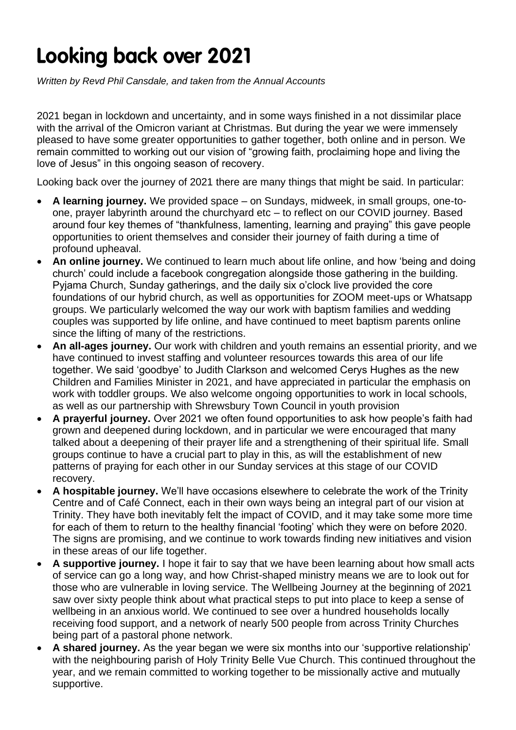## **Looking back over 2021**

*Written by Revd Phil Cansdale, and taken from the Annual Accounts*

2021 began in lockdown and uncertainty, and in some ways finished in a not dissimilar place with the arrival of the Omicron variant at Christmas. But during the year we were immensely pleased to have some greater opportunities to gather together, both online and in person. We remain committed to working out our vision of "growing faith, proclaiming hope and living the love of Jesus" in this ongoing season of recovery.

Looking back over the journey of 2021 there are many things that might be said. In particular:

- **A learning journey.** We provided space on Sundays, midweek, in small groups, one-toone, prayer labyrinth around the churchyard etc – to reflect on our COVID journey. Based around four key themes of "thankfulness, lamenting, learning and praying" this gave people opportunities to orient themselves and consider their journey of faith during a time of profound upheaval.
- **An online journey.** We continued to learn much about life online, and how 'being and doing church' could include a facebook congregation alongside those gathering in the building. Pyjama Church, Sunday gatherings, and the daily six o'clock live provided the core foundations of our hybrid church, as well as opportunities for ZOOM meet-ups or Whatsapp groups. We particularly welcomed the way our work with baptism families and wedding couples was supported by life online, and have continued to meet baptism parents online since the lifting of many of the restrictions.
- An all-ages journey. Our work with children and youth remains an essential priority, and we have continued to invest staffing and volunteer resources towards this area of our life together. We said 'goodbye' to Judith Clarkson and welcomed Cerys Hughes as the new Children and Families Minister in 2021, and have appreciated in particular the emphasis on work with toddler groups. We also welcome ongoing opportunities to work in local schools, as well as our partnership with Shrewsbury Town Council in youth provision
- **A prayerful journey.** Over 2021 we often found opportunities to ask how people's faith had grown and deepened during lockdown, and in particular we were encouraged that many talked about a deepening of their prayer life and a strengthening of their spiritual life. Small groups continue to have a crucial part to play in this, as will the establishment of new patterns of praying for each other in our Sunday services at this stage of our COVID recovery.
- **A hospitable journey.** We'll have occasions elsewhere to celebrate the work of the Trinity Centre and of Café Connect, each in their own ways being an integral part of our vision at Trinity. They have both inevitably felt the impact of COVID, and it may take some more time for each of them to return to the healthy financial 'footing' which they were on before 2020. The signs are promising, and we continue to work towards finding new initiatives and vision in these areas of our life together.
- **A supportive journey.** I hope it fair to say that we have been learning about how small acts of service can go a long way, and how Christ-shaped ministry means we are to look out for those who are vulnerable in loving service. The Wellbeing Journey at the beginning of 2021 saw over sixty people think about what practical steps to put into place to keep a sense of wellbeing in an anxious world. We continued to see over a hundred households locally receiving food support, and a network of nearly 500 people from across Trinity Churches being part of a pastoral phone network.
- **A shared journey.** As the year began we were six months into our 'supportive relationship' with the neighbouring parish of Holy Trinity Belle Vue Church. This continued throughout the year, and we remain committed to working together to be missionally active and mutually supportive.